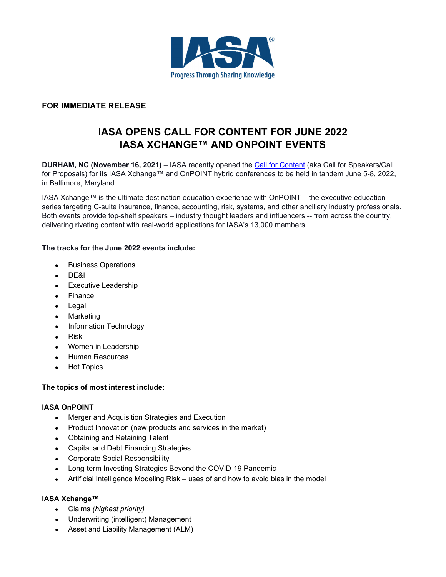

## **FOR IMMEDIATE RELEASE**

# **IASA OPENS CALL FOR CONTENT FOR JUNE 2022 IASA XCHANGE™ AND ONPOINT EVENTS**

**DURHAM, NC (November 16, 2021)** – IASA recently opened the Call for Content (aka Call for Speakers/Call for Proposals) for its IASA Xchange™ and OnPOINT hybrid conferences to be held in tandem June 5-8, 2022, in Baltimore, Maryland.

IASA Xchange™ is the ultimate destination education experience with OnPOINT – the executive education series targeting C-suite insurance, finance, accounting, risk, systems, and other ancillary industry professionals. Both events provide top-shelf speakers – industry thought leaders and influencers -- from across the country, delivering riveting content with real-world applications for IASA's 13,000 members.

## **The tracks for the June 2022 events include:**

- Business Operations
- DE&I
- **•** Executive Leadership
- Finance
- Legal
- Marketing
- Information Technology
- Risk
- Women in Leadership
- Human Resources
- Hot Topics

#### **The topics of most interest include:**

#### **IASA OnPOINT**

- Merger and Acquisition Strategies and Execution
- Product Innovation (new products and services in the market)
- Obtaining and Retaining Talent
- Capital and Debt Financing Strategies
- Corporate Social Responsibility
- Long-term Investing Strategies Beyond the COVID-19 Pandemic
- Artificial Intelligence Modeling Risk uses of and how to avoid bias in the model

## **IASA Xchange™**

- Claims *(highest priority)*
- Underwriting (intelligent) Management
- Asset and Liability Management (ALM)